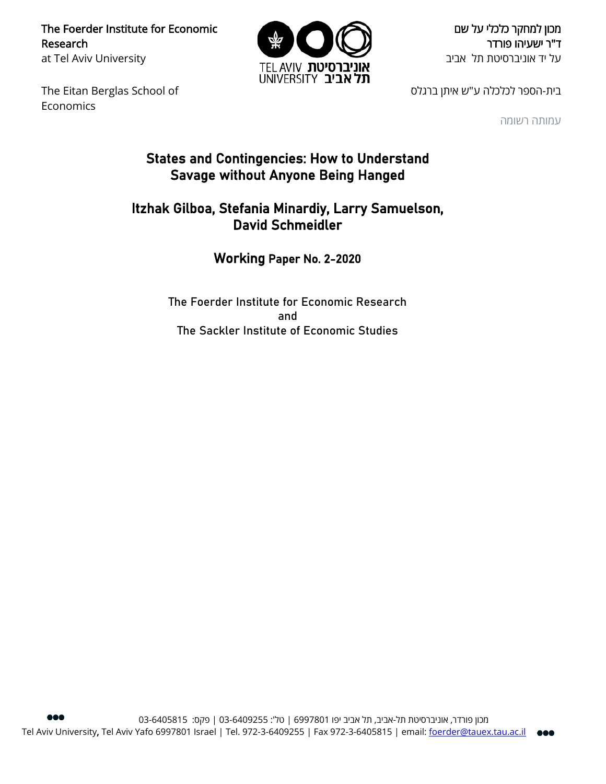The Foerder Institute for Economic Research at Tel Aviv University



מכון למחקר כלכלי על שם ד"ר ישעיהו פורדר על יד אוניברסיטת תל אביב

The Eitan Berglas School of Economics

בית-הספר לכלכלה ע"ש איתן ברגלס

עמותה רשומה

# States and Contingencies: How to Understand Savage without Anyone Being Hanged

# Itzhak Gilboa, Stefania Minardiy, Larry Samuelson, David Schmeidler

# Working Paper No. 2-2020

The Foerder Institute for Economic Research and The Sackler Institute of Economic Studies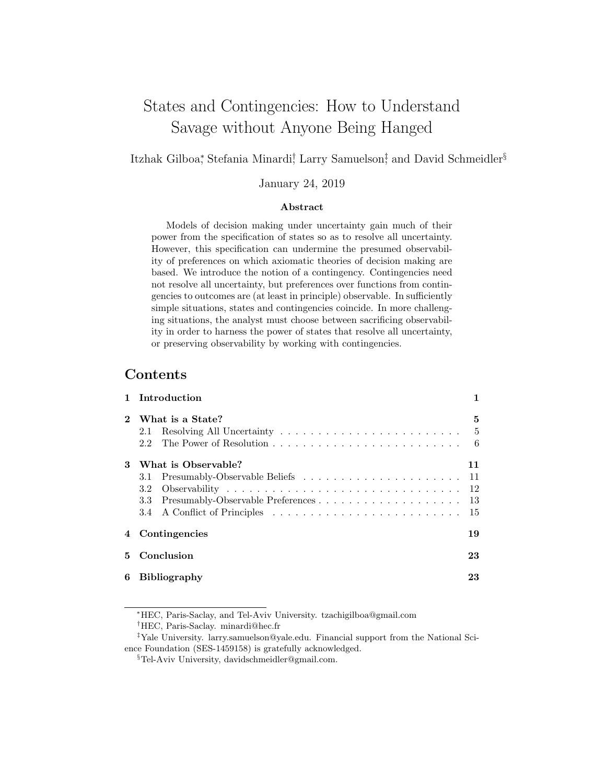# States and Contingencies: How to Understand Savage without Anyone Being Hanged

Itzhak Gilboa<sup>\*</sup>, Stefania Minardi<sup>†</sup>, Larry Samuelson<sup>‡</sup>, and David Schmeidler<sup>§</sup>

January 24, 2019

#### Abstract

Models of decision making under uncertainty gain much of their power from the specification of states so as to resolve all uncertainty. However, this specification can undermine the presumed observability of preferences on which axiomatic theories of decision making are based. We introduce the notion of a contingency. Contingencies need not resolve all uncertainty, but preferences over functions from contingencies to outcomes are (at least in principle) observable. In sufficiently simple situations, states and contingencies coincide. In more challenging situations, the analyst must choose between sacrificing observability in order to harness the power of states that resolve all uncertainty, or preserving observability by working with contingencies.

## Contents

|    | Introduction                   |           |
|----|--------------------------------|-----------|
|    | What is a State?<br>2.1        | 5<br>$-5$ |
|    | The Power of Resolution<br>2.2 | - 6       |
| 3  | What is Observable?            | 11        |
|    | 3.1                            | 11        |
|    | 3.2                            |           |
|    | 3.3                            |           |
|    | 3.4                            | 15        |
| 4  | Contingencies                  | 19        |
| 5. | Conclusion                     | 23        |
| 6  | <b>Bibliography</b>            | 23        |

<sup>∗</sup>HEC, Paris-Saclay, and Tel-Aviv University. tzachigilboa@gmail.com †HEC, Paris-Saclay. minardi@hec.fr

‡Yale University. larry.samuelson@yale.edu. Financial support from the National Science Foundation (SES-1459158) is gratefully acknowledged.

<sup>§</sup>Tel-Aviv University, davidschmeidler@gmail.com.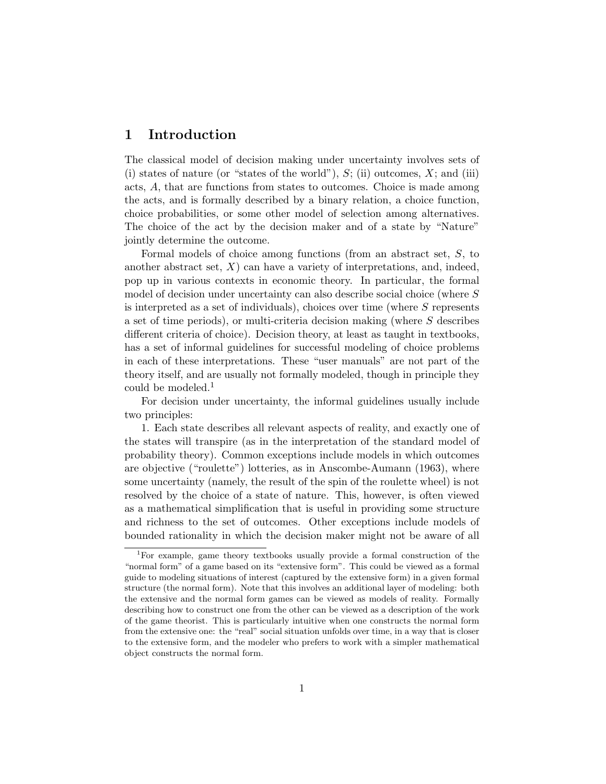## 1 Introduction

The classical model of decision making under uncertainty involves sets of (i) states of nature (or "states of the world"),  $S$ ; (ii) outcomes,  $X$ ; and (iii) acts, A, that are functions from states to outcomes. Choice is made among the acts, and is formally described by a binary relation, a choice function, choice probabilities, or some other model of selection among alternatives. The choice of the act by the decision maker and of a state by "Nature" jointly determine the outcome.

Formal models of choice among functions (from an abstract set, S, to another abstract set,  $X$ ) can have a variety of interpretations, and, indeed, pop up in various contexts in economic theory. In particular, the formal model of decision under uncertainty can also describe social choice (where S is interpreted as a set of individuals), choices over time (where  $S$  represents a set of time periods), or multi-criteria decision making (where S describes different criteria of choice). Decision theory, at least as taught in textbooks, has a set of informal guidelines for successful modeling of choice problems in each of these interpretations. These "user manuals" are not part of the theory itself, and are usually not formally modeled, though in principle they could be modeled.<sup>1</sup>

For decision under uncertainty, the informal guidelines usually include two principles:

1. Each state describes all relevant aspects of reality, and exactly one of the states will transpire (as in the interpretation of the standard model of probability theory). Common exceptions include models in which outcomes are objective ("roulette") lotteries, as in Anscombe-Aumann (1963), where some uncertainty (namely, the result of the spin of the roulette wheel) is not resolved by the choice of a state of nature. This, however, is often viewed as a mathematical simplification that is useful in providing some structure and richness to the set of outcomes. Other exceptions include models of bounded rationality in which the decision maker might not be aware of all

<sup>1</sup>For example, game theory textbooks usually provide a formal construction of the "normal form" of a game based on its "extensive form". This could be viewed as a formal guide to modeling situations of interest (captured by the extensive form) in a given formal structure (the normal form). Note that this involves an additional layer of modeling: both the extensive and the normal form games can be viewed as models of reality. Formally describing how to construct one from the other can be viewed as a description of the work of the game theorist. This is particularly intuitive when one constructs the normal form from the extensive one: the "real" social situation unfolds over time, in a way that is closer to the extensive form, and the modeler who prefers to work with a simpler mathematical object constructs the normal form.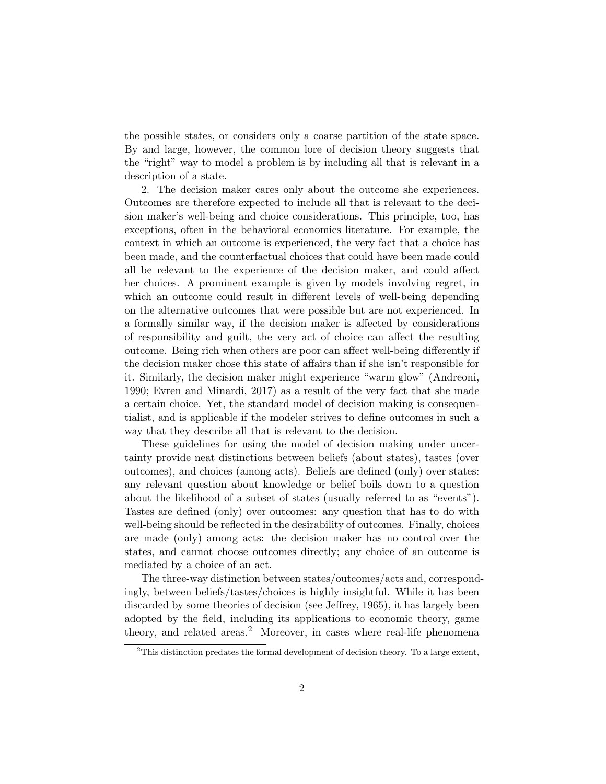the possible states, or considers only a coarse partition of the state space. By and large, however, the common lore of decision theory suggests that the "right" way to model a problem is by including all that is relevant in a description of a state.

2. The decision maker cares only about the outcome she experiences. Outcomes are therefore expected to include all that is relevant to the decision maker's well-being and choice considerations. This principle, too, has exceptions, often in the behavioral economics literature. For example, the context in which an outcome is experienced, the very fact that a choice has been made, and the counterfactual choices that could have been made could all be relevant to the experience of the decision maker, and could affect her choices. A prominent example is given by models involving regret, in which an outcome could result in different levels of well-being depending on the alternative outcomes that were possible but are not experienced. In a formally similar way, if the decision maker is affected by considerations of responsibility and guilt, the very act of choice can affect the resulting outcome. Being rich when others are poor can affect well-being differently if the decision maker chose this state of affairs than if she isn't responsible for it. Similarly, the decision maker might experience "warm glow" (Andreoni, 1990; Evren and Minardi, 2017) as a result of the very fact that she made a certain choice. Yet, the standard model of decision making is consequentialist, and is applicable if the modeler strives to define outcomes in such a way that they describe all that is relevant to the decision.

These guidelines for using the model of decision making under uncertainty provide neat distinctions between beliefs (about states), tastes (over outcomes), and choices (among acts). Beliefs are defined (only) over states: any relevant question about knowledge or belief boils down to a question about the likelihood of a subset of states (usually referred to as "events"). Tastes are defined (only) over outcomes: any question that has to do with well-being should be reflected in the desirability of outcomes. Finally, choices are made (only) among acts: the decision maker has no control over the states, and cannot choose outcomes directly; any choice of an outcome is mediated by a choice of an act.

The three-way distinction between states/outcomes/acts and, correspondingly, between beliefs/tastes/choices is highly insightful. While it has been discarded by some theories of decision (see Jeffrey, 1965), it has largely been adopted by the field, including its applications to economic theory, game theory, and related areas.<sup>2</sup> Moreover, in cases where real-life phenomena

 $2$ This distinction predates the formal development of decision theory. To a large extent,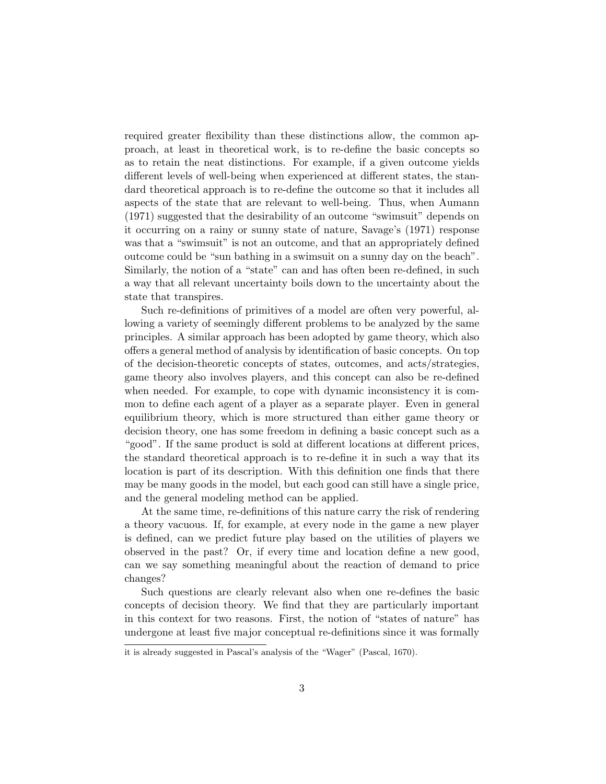required greater flexibility than these distinctions allow, the common approach, at least in theoretical work, is to re-define the basic concepts so as to retain the neat distinctions. For example, if a given outcome yields different levels of well-being when experienced at different states, the standard theoretical approach is to re-define the outcome so that it includes all aspects of the state that are relevant to well-being. Thus, when Aumann (1971) suggested that the desirability of an outcome "swimsuit" depends on it occurring on a rainy or sunny state of nature, Savage's (1971) response was that a "swimsuit" is not an outcome, and that an appropriately defined outcome could be "sun bathing in a swimsuit on a sunny day on the beach". Similarly, the notion of a "state" can and has often been re-defined, in such a way that all relevant uncertainty boils down to the uncertainty about the state that transpires.

Such re-definitions of primitives of a model are often very powerful, allowing a variety of seemingly different problems to be analyzed by the same principles. A similar approach has been adopted by game theory, which also offers a general method of analysis by identification of basic concepts. On top of the decision-theoretic concepts of states, outcomes, and acts/strategies, game theory also involves players, and this concept can also be re-defined when needed. For example, to cope with dynamic inconsistency it is common to define each agent of a player as a separate player. Even in general equilibrium theory, which is more structured than either game theory or decision theory, one has some freedom in defining a basic concept such as a "good". If the same product is sold at different locations at different prices, the standard theoretical approach is to re-define it in such a way that its location is part of its description. With this definition one finds that there may be many goods in the model, but each good can still have a single price, and the general modeling method can be applied.

At the same time, re-definitions of this nature carry the risk of rendering a theory vacuous. If, for example, at every node in the game a new player is defined, can we predict future play based on the utilities of players we observed in the past? Or, if every time and location define a new good, can we say something meaningful about the reaction of demand to price changes?

Such questions are clearly relevant also when one re-defines the basic concepts of decision theory. We find that they are particularly important in this context for two reasons. First, the notion of "states of nature" has undergone at least five major conceptual re-definitions since it was formally

it is already suggested in Pascal's analysis of the "Wager" (Pascal, 1670).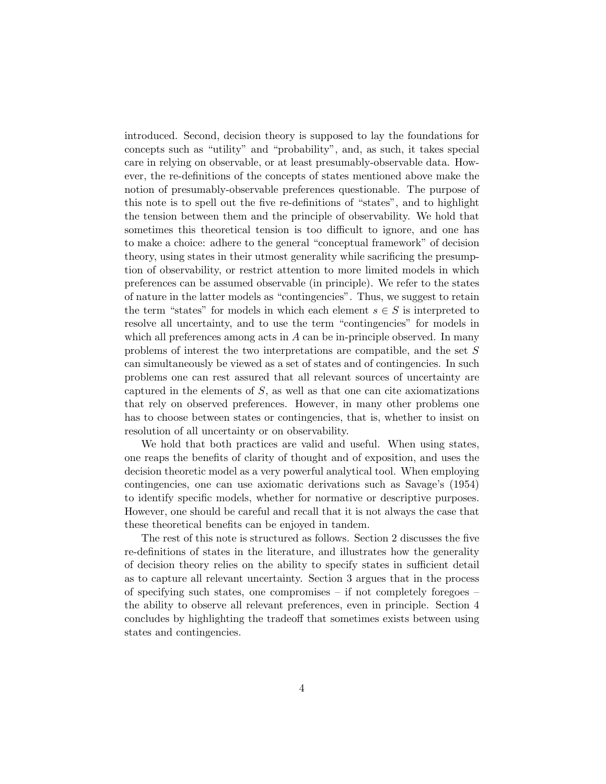introduced. Second, decision theory is supposed to lay the foundations for concepts such as "utility" and "probability", and, as such, it takes special care in relying on observable, or at least presumably-observable data. However, the re-definitions of the concepts of states mentioned above make the notion of presumably-observable preferences questionable. The purpose of this note is to spell out the five re-definitions of "states", and to highlight the tension between them and the principle of observability. We hold that sometimes this theoretical tension is too difficult to ignore, and one has to make a choice: adhere to the general "conceptual framework" of decision theory, using states in their utmost generality while sacrificing the presumption of observability, or restrict attention to more limited models in which preferences can be assumed observable (in principle). We refer to the states of nature in the latter models as "contingencies". Thus, we suggest to retain the term "states" for models in which each element  $s \in S$  is interpreted to resolve all uncertainty, and to use the term "contingencies" for models in which all preferences among acts in  $A$  can be in-principle observed. In many problems of interest the two interpretations are compatible, and the set S can simultaneously be viewed as a set of states and of contingencies. In such problems one can rest assured that all relevant sources of uncertainty are captured in the elements of S, as well as that one can cite axiomatizations that rely on observed preferences. However, in many other problems one has to choose between states or contingencies, that is, whether to insist on resolution of all uncertainty or on observability.

We hold that both practices are valid and useful. When using states, one reaps the benefits of clarity of thought and of exposition, and uses the decision theoretic model as a very powerful analytical tool. When employing contingencies, one can use axiomatic derivations such as Savage's (1954) to identify specific models, whether for normative or descriptive purposes. However, one should be careful and recall that it is not always the case that these theoretical benefits can be enjoyed in tandem.

The rest of this note is structured as follows. Section 2 discusses the five re-definitions of states in the literature, and illustrates how the generality of decision theory relies on the ability to specify states in sufficient detail as to capture all relevant uncertainty. Section 3 argues that in the process of specifying such states, one compromises  $-$  if not completely foregoes  $$ the ability to observe all relevant preferences, even in principle. Section 4 concludes by highlighting the tradeoff that sometimes exists between using states and contingencies.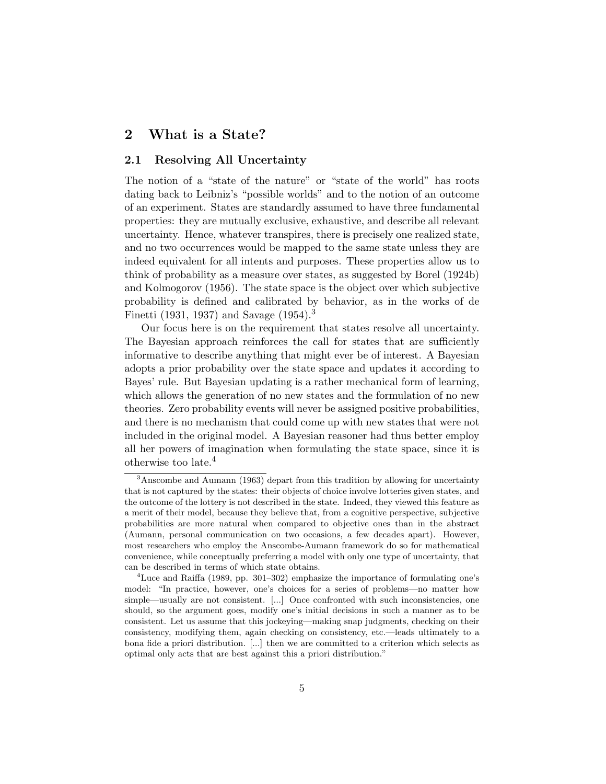## 2 What is a State?

#### 2.1 Resolving All Uncertainty

The notion of a "state of the nature" or "state of the world" has roots dating back to Leibniz's "possible worlds" and to the notion of an outcome of an experiment. States are standardly assumed to have three fundamental properties: they are mutually exclusive, exhaustive, and describe all relevant uncertainty. Hence, whatever transpires, there is precisely one realized state, and no two occurrences would be mapped to the same state unless they are indeed equivalent for all intents and purposes. These properties allow us to think of probability as a measure over states, as suggested by Borel (1924b) and Kolmogorov (1956). The state space is the object over which subjective probability is defined and calibrated by behavior, as in the works of de Finetti (1931, 1937) and Savage (1954).<sup>3</sup>

Our focus here is on the requirement that states resolve all uncertainty. The Bayesian approach reinforces the call for states that are sufficiently informative to describe anything that might ever be of interest. A Bayesian adopts a prior probability over the state space and updates it according to Bayes' rule. But Bayesian updating is a rather mechanical form of learning, which allows the generation of no new states and the formulation of no new theories. Zero probability events will never be assigned positive probabilities, and there is no mechanism that could come up with new states that were not included in the original model. A Bayesian reasoner had thus better employ all her powers of imagination when formulating the state space, since it is otherwise too late.<sup>4</sup>

<sup>3</sup>Anscombe and Aumann (1963) depart from this tradition by allowing for uncertainty that is not captured by the states: their objects of choice involve lotteries given states, and the outcome of the lottery is not described in the state. Indeed, they viewed this feature as a merit of their model, because they believe that, from a cognitive perspective, subjective probabilities are more natural when compared to objective ones than in the abstract (Aumann, personal communication on two occasions, a few decades apart). However, most researchers who employ the Anscombe-Aumann framework do so for mathematical convenience, while conceptually preferring a model with only one type of uncertainty, that can be described in terms of which state obtains.

 $4$ Luce and Raiffa (1989, pp. 301–302) emphasize the importance of formulating one's model: "In practice, however, one's choices for a series of problems—no matter how simple—usually are not consistent. [...] Once confronted with such inconsistencies, one should, so the argument goes, modify one's initial decisions in such a manner as to be consistent. Let us assume that this jockeying—making snap judgments, checking on their consistency, modifying them, again checking on consistency, etc.—leads ultimately to a bona fide a priori distribution. [...] then we are committed to a criterion which selects as optimal only acts that are best against this a priori distribution."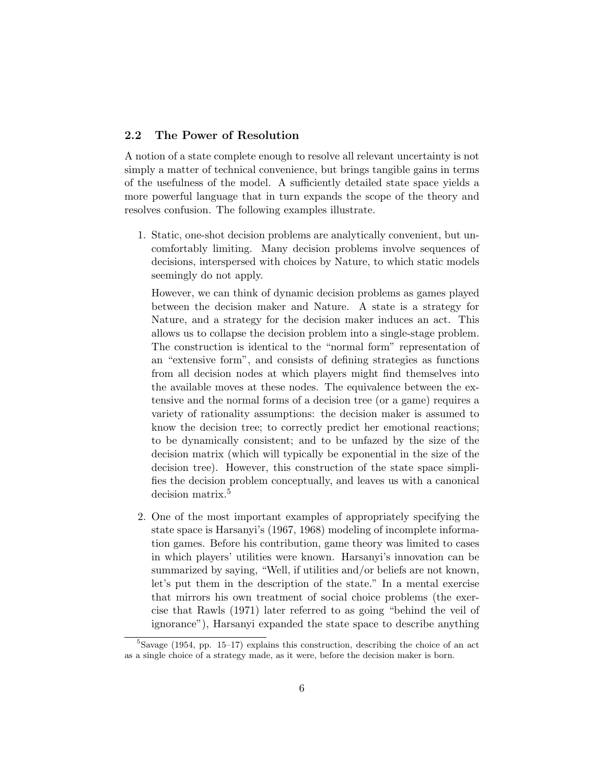#### 2.2 The Power of Resolution

A notion of a state complete enough to resolve all relevant uncertainty is not simply a matter of technical convenience, but brings tangible gains in terms of the usefulness of the model. A sufficiently detailed state space yields a more powerful language that in turn expands the scope of the theory and resolves confusion. The following examples illustrate.

1. Static, one-shot decision problems are analytically convenient, but uncomfortably limiting. Many decision problems involve sequences of decisions, interspersed with choices by Nature, to which static models seemingly do not apply.

However, we can think of dynamic decision problems as games played between the decision maker and Nature. A state is a strategy for Nature, and a strategy for the decision maker induces an act. This allows us to collapse the decision problem into a single-stage problem. The construction is identical to the "normal form" representation of an "extensive form", and consists of defining strategies as functions from all decision nodes at which players might find themselves into the available moves at these nodes. The equivalence between the extensive and the normal forms of a decision tree (or a game) requires a variety of rationality assumptions: the decision maker is assumed to know the decision tree; to correctly predict her emotional reactions; to be dynamically consistent; and to be unfazed by the size of the decision matrix (which will typically be exponential in the size of the decision tree). However, this construction of the state space simplifies the decision problem conceptually, and leaves us with a canonical decision matrix.<sup>5</sup>

2. One of the most important examples of appropriately specifying the state space is Harsanyi's (1967, 1968) modeling of incomplete information games. Before his contribution, game theory was limited to cases in which players' utilities were known. Harsanyi's innovation can be summarized by saying, "Well, if utilities and/or beliefs are not known, let's put them in the description of the state." In a mental exercise that mirrors his own treatment of social choice problems (the exercise that Rawls (1971) later referred to as going "behind the veil of ignorance"), Harsanyi expanded the state space to describe anything

 ${}^{5}$ Savage (1954, pp. 15–17) explains this construction, describing the choice of an act as a single choice of a strategy made, as it were, before the decision maker is born.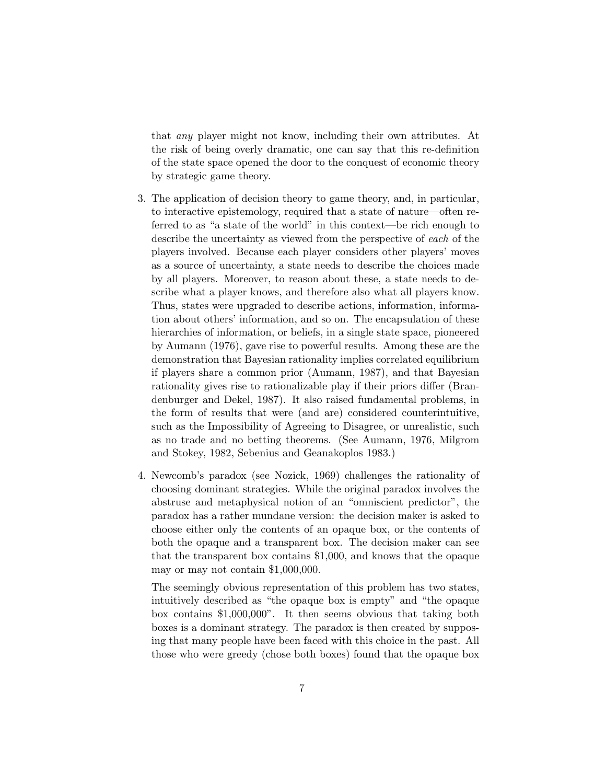that any player might not know, including their own attributes. At the risk of being overly dramatic, one can say that this re-definition of the state space opened the door to the conquest of economic theory by strategic game theory.

- 3. The application of decision theory to game theory, and, in particular, to interactive epistemology, required that a state of nature—often referred to as "a state of the world" in this context—be rich enough to describe the uncertainty as viewed from the perspective of each of the players involved. Because each player considers other players' moves as a source of uncertainty, a state needs to describe the choices made by all players. Moreover, to reason about these, a state needs to describe what a player knows, and therefore also what all players know. Thus, states were upgraded to describe actions, information, information about others' information, and so on. The encapsulation of these hierarchies of information, or beliefs, in a single state space, pioneered by Aumann (1976), gave rise to powerful results. Among these are the demonstration that Bayesian rationality implies correlated equilibrium if players share a common prior (Aumann, 1987), and that Bayesian rationality gives rise to rationalizable play if their priors differ (Brandenburger and Dekel, 1987). It also raised fundamental problems, in the form of results that were (and are) considered counterintuitive, such as the Impossibility of Agreeing to Disagree, or unrealistic, such as no trade and no betting theorems. (See Aumann, 1976, Milgrom and Stokey, 1982, Sebenius and Geanakoplos 1983.)
- 4. Newcomb's paradox (see Nozick, 1969) challenges the rationality of choosing dominant strategies. While the original paradox involves the abstruse and metaphysical notion of an "omniscient predictor", the paradox has a rather mundane version: the decision maker is asked to choose either only the contents of an opaque box, or the contents of both the opaque and a transparent box. The decision maker can see that the transparent box contains \$1,000, and knows that the opaque may or may not contain \$1,000,000.

The seemingly obvious representation of this problem has two states, intuitively described as "the opaque box is empty" and "the opaque box contains \$1,000,000". It then seems obvious that taking both boxes is a dominant strategy. The paradox is then created by supposing that many people have been faced with this choice in the past. All those who were greedy (chose both boxes) found that the opaque box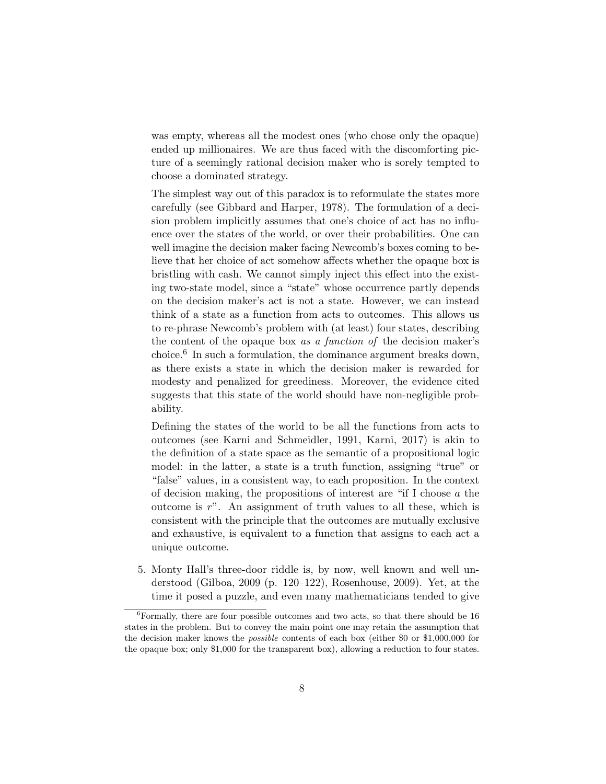was empty, whereas all the modest ones (who chose only the opaque) ended up millionaires. We are thus faced with the discomforting picture of a seemingly rational decision maker who is sorely tempted to choose a dominated strategy.

The simplest way out of this paradox is to reformulate the states more carefully (see Gibbard and Harper, 1978). The formulation of a decision problem implicitly assumes that one's choice of act has no influence over the states of the world, or over their probabilities. One can well imagine the decision maker facing Newcomb's boxes coming to believe that her choice of act somehow affects whether the opaque box is bristling with cash. We cannot simply inject this effect into the existing two-state model, since a "state" whose occurrence partly depends on the decision maker's act is not a state. However, we can instead think of a state as a function from acts to outcomes. This allows us to re-phrase Newcomb's problem with (at least) four states, describing the content of the opaque box as a function of the decision maker's choice.<sup>6</sup> In such a formulation, the dominance argument breaks down, as there exists a state in which the decision maker is rewarded for modesty and penalized for greediness. Moreover, the evidence cited suggests that this state of the world should have non-negligible probability.

Defining the states of the world to be all the functions from acts to outcomes (see Karni and Schmeidler, 1991, Karni, 2017) is akin to the definition of a state space as the semantic of a propositional logic model: in the latter, a state is a truth function, assigning "true" or "false" values, in a consistent way, to each proposition. In the context of decision making, the propositions of interest are "if I choose  $a$  the outcome is  $r$ ". An assignment of truth values to all these, which is consistent with the principle that the outcomes are mutually exclusive and exhaustive, is equivalent to a function that assigns to each act a unique outcome.

5. Monty Hall's three-door riddle is, by now, well known and well understood (Gilboa, 2009 (p. 120–122), Rosenhouse, 2009). Yet, at the time it posed a puzzle, and even many mathematicians tended to give

 ${}^{6}$ Formally, there are four possible outcomes and two acts, so that there should be 16 states in the problem. But to convey the main point one may retain the assumption that the decision maker knows the *possible* contents of each box (either \$0 or \$1,000,000 for the opaque box; only \$1,000 for the transparent box), allowing a reduction to four states.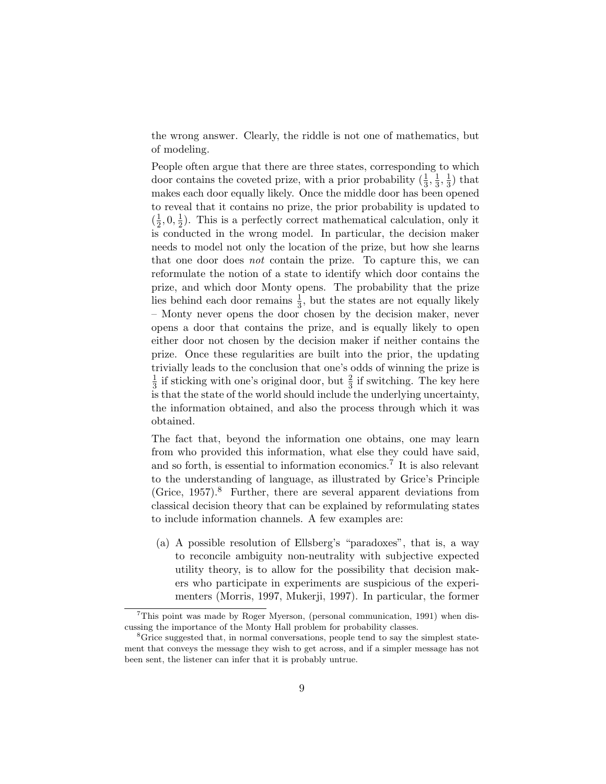the wrong answer. Clearly, the riddle is not one of mathematics, but of modeling.

People often argue that there are three states, corresponding to which door contains the coveted prize, with a prior probability  $(\frac{1}{3}, \frac{1}{3})$  $\frac{1}{3}, \frac{1}{3}$  $\frac{1}{3}$ ) that makes each door equally likely. Once the middle door has been opened to reveal that it contains no prize, the prior probability is updated to  $\left(\frac{1}{2}\right)$  $\frac{1}{2}, 0, \frac{1}{2}$  $\frac{1}{2}$ ). This is a perfectly correct mathematical calculation, only it is conducted in the wrong model. In particular, the decision maker needs to model not only the location of the prize, but how she learns that one door does not contain the prize. To capture this, we can reformulate the notion of a state to identify which door contains the prize, and which door Monty opens. The probability that the prize lies behind each door remains  $\frac{1}{3}$ , but the states are not equally likely – Monty never opens the door chosen by the decision maker, never opens a door that contains the prize, and is equally likely to open either door not chosen by the decision maker if neither contains the prize. Once these regularities are built into the prior, the updating trivially leads to the conclusion that one's odds of winning the prize is 1  $\frac{1}{3}$  if sticking with one's original door, but  $\frac{2}{3}$  if switching. The key here is that the state of the world should include the underlying uncertainty, the information obtained, and also the process through which it was obtained.

The fact that, beyond the information one obtains, one may learn from who provided this information, what else they could have said, and so forth, is essential to information economics.<sup>7</sup> It is also relevant to the understanding of language, as illustrated by Grice's Principle (Grice,  $1957$ )<sup>8</sup> Further, there are several apparent deviations from classical decision theory that can be explained by reformulating states to include information channels. A few examples are:

(a) A possible resolution of Ellsberg's "paradoxes", that is, a way to reconcile ambiguity non-neutrality with subjective expected utility theory, is to allow for the possibility that decision makers who participate in experiments are suspicious of the experimenters (Morris, 1997, Mukerji, 1997). In particular, the former

 $7$ This point was made by Roger Myerson, (personal communication, 1991) when discussing the importance of the Monty Hall problem for probability classes.

<sup>8</sup>Grice suggested that, in normal conversations, people tend to say the simplest statement that conveys the message they wish to get across, and if a simpler message has not been sent, the listener can infer that it is probably untrue.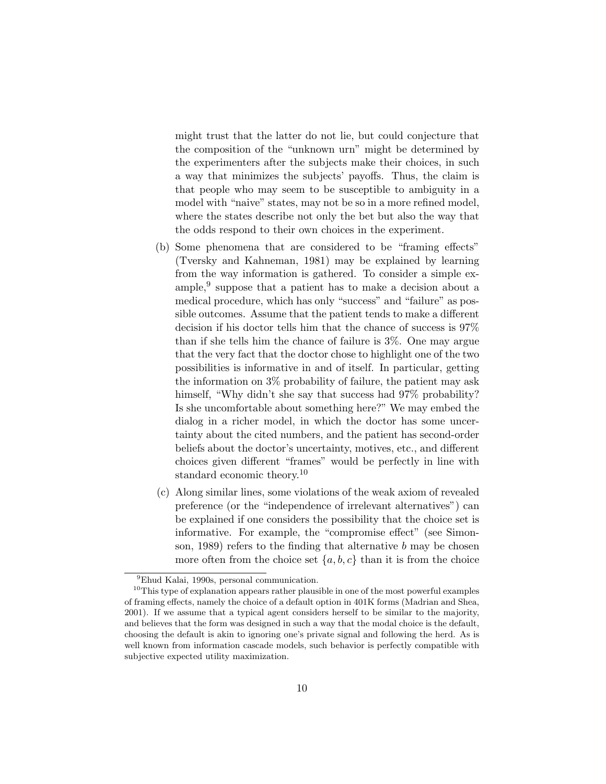might trust that the latter do not lie, but could conjecture that the composition of the "unknown urn" might be determined by the experimenters after the subjects make their choices, in such a way that minimizes the subjects' payoffs. Thus, the claim is that people who may seem to be susceptible to ambiguity in a model with "naive" states, may not be so in a more refined model, where the states describe not only the bet but also the way that the odds respond to their own choices in the experiment.

- (b) Some phenomena that are considered to be "framing effects" (Tversky and Kahneman, 1981) may be explained by learning from the way information is gathered. To consider a simple example,<sup>9</sup> suppose that a patient has to make a decision about a medical procedure, which has only "success" and "failure" as possible outcomes. Assume that the patient tends to make a different decision if his doctor tells him that the chance of success is 97% than if she tells him the chance of failure is 3%. One may argue that the very fact that the doctor chose to highlight one of the two possibilities is informative in and of itself. In particular, getting the information on 3% probability of failure, the patient may ask himself, "Why didn't she say that success had  $97\%$  probability? Is she uncomfortable about something here?" We may embed the dialog in a richer model, in which the doctor has some uncertainty about the cited numbers, and the patient has second-order beliefs about the doctor's uncertainty, motives, etc., and different choices given different "frames" would be perfectly in line with standard economic theory.<sup>10</sup>
- (c) Along similar lines, some violations of the weak axiom of revealed preference (or the "independence of irrelevant alternatives") can be explained if one considers the possibility that the choice set is informative. For example, the "compromise effect" (see Simonson, 1989) refers to the finding that alternative  $b$  may be chosen more often from the choice set  $\{a, b, c\}$  than it is from the choice

<sup>9</sup>Ehud Kalai, 1990s, personal communication.

 $10$ This type of explanation appears rather plausible in one of the most powerful examples of framing effects, namely the choice of a default option in 401K forms (Madrian and Shea, 2001). If we assume that a typical agent considers herself to be similar to the majority, and believes that the form was designed in such a way that the modal choice is the default, choosing the default is akin to ignoring one's private signal and following the herd. As is well known from information cascade models, such behavior is perfectly compatible with subjective expected utility maximization.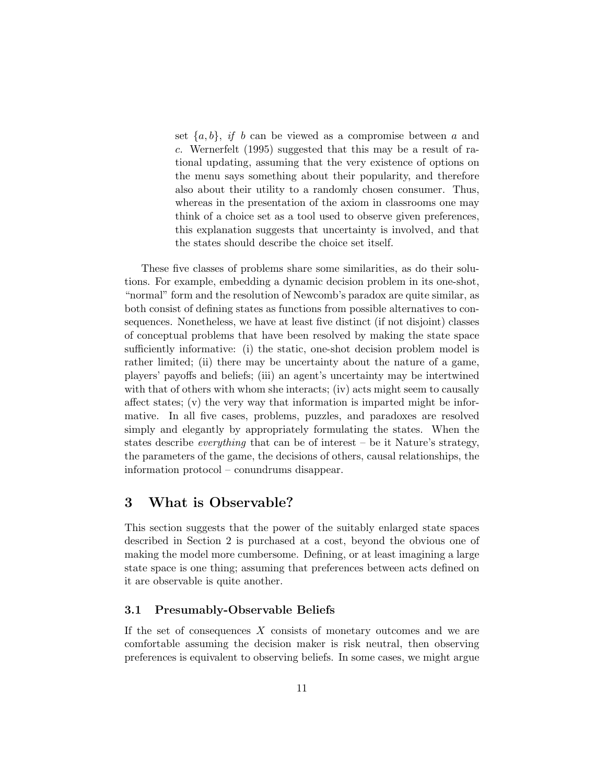set  $\{a, b\}$ , if b can be viewed as a compromise between a and c. Wernerfelt (1995) suggested that this may be a result of rational updating, assuming that the very existence of options on the menu says something about their popularity, and therefore also about their utility to a randomly chosen consumer. Thus, whereas in the presentation of the axiom in classrooms one may think of a choice set as a tool used to observe given preferences, this explanation suggests that uncertainty is involved, and that the states should describe the choice set itself.

These five classes of problems share some similarities, as do their solutions. For example, embedding a dynamic decision problem in its one-shot, "normal" form and the resolution of Newcomb's paradox are quite similar, as both consist of defining states as functions from possible alternatives to consequences. Nonetheless, we have at least five distinct (if not disjoint) classes of conceptual problems that have been resolved by making the state space sufficiently informative: (i) the static, one-shot decision problem model is rather limited; (ii) there may be uncertainty about the nature of a game, players' payoffs and beliefs; (iii) an agent's uncertainty may be intertwined with that of others with whom she interacts; (iv) acts might seem to causally affect states; (v) the very way that information is imparted might be informative. In all five cases, problems, puzzles, and paradoxes are resolved simply and elegantly by appropriately formulating the states. When the states describe *everything* that can be of interest – be it Nature's strategy, the parameters of the game, the decisions of others, causal relationships, the information protocol – conundrums disappear.

## 3 What is Observable?

This section suggests that the power of the suitably enlarged state spaces described in Section 2 is purchased at a cost, beyond the obvious one of making the model more cumbersome. Defining, or at least imagining a large state space is one thing; assuming that preferences between acts defined on it are observable is quite another.

#### 3.1 Presumably-Observable Beliefs

If the set of consequences  $X$  consists of monetary outcomes and we are comfortable assuming the decision maker is risk neutral, then observing preferences is equivalent to observing beliefs. In some cases, we might argue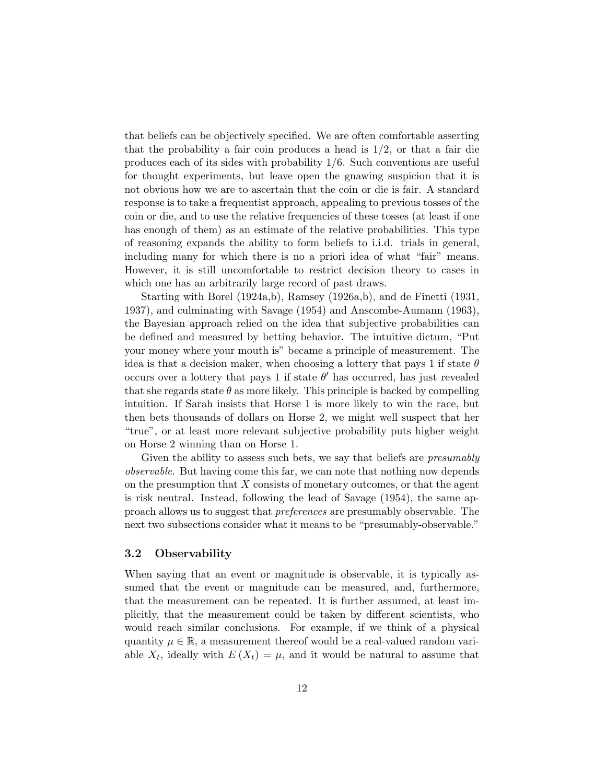that beliefs can be objectively specified. We are often comfortable asserting that the probability a fair coin produces a head is  $1/2$ , or that a fair die produces each of its sides with probability 1/6. Such conventions are useful for thought experiments, but leave open the gnawing suspicion that it is not obvious how we are to ascertain that the coin or die is fair. A standard response is to take a frequentist approach, appealing to previous tosses of the coin or die, and to use the relative frequencies of these tosses (at least if one has enough of them) as an estimate of the relative probabilities. This type of reasoning expands the ability to form beliefs to i.i.d. trials in general, including many for which there is no a priori idea of what "fair" means. However, it is still uncomfortable to restrict decision theory to cases in which one has an arbitrarily large record of past draws.

Starting with Borel (1924a,b), Ramsey (1926a,b), and de Finetti (1931, 1937), and culminating with Savage (1954) and Anscombe-Aumann (1963), the Bayesian approach relied on the idea that subjective probabilities can be defined and measured by betting behavior. The intuitive dictum, "Put your money where your mouth is" became a principle of measurement. The idea is that a decision maker, when choosing a lottery that pays 1 if state  $\theta$ occurs over a lottery that pays 1 if state  $\theta'$  has occurred, has just revealed that she regards state  $\theta$  as more likely. This principle is backed by compelling intuition. If Sarah insists that Horse 1 is more likely to win the race, but then bets thousands of dollars on Horse 2, we might well suspect that her "true", or at least more relevant subjective probability puts higher weight on Horse 2 winning than on Horse 1.

Given the ability to assess such bets, we say that beliefs are *presumably* observable. But having come this far, we can note that nothing now depends on the presumption that  $X$  consists of monetary outcomes, or that the agent is risk neutral. Instead, following the lead of Savage (1954), the same approach allows us to suggest that preferences are presumably observable. The next two subsections consider what it means to be "presumably-observable."

#### 3.2 Observability

When saying that an event or magnitude is observable, it is typically assumed that the event or magnitude can be measured, and, furthermore, that the measurement can be repeated. It is further assumed, at least implicitly, that the measurement could be taken by different scientists, who would reach similar conclusions. For example, if we think of a physical quantity  $\mu \in \mathbb{R}$ , a measurement thereof would be a real-valued random variable  $X_t$ , ideally with  $E(X_t) = \mu$ , and it would be natural to assume that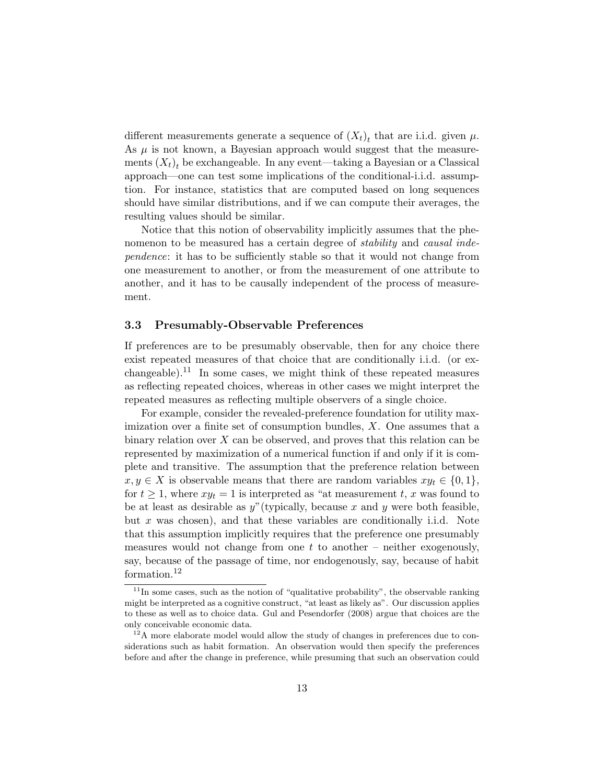different measurements generate a sequence of  $(X_t)_t$  that are i.i.d. given  $\mu$ . As  $\mu$  is not known, a Bayesian approach would suggest that the measurements  $(X_t)_t$  be exchangeable. In any event—taking a Bayesian or a Classical approach—one can test some implications of the conditional-i.i.d. assumption. For instance, statistics that are computed based on long sequences should have similar distributions, and if we can compute their averages, the resulting values should be similar.

Notice that this notion of observability implicitly assumes that the phenomenon to be measured has a certain degree of *stability* and *causal inde*pendence: it has to be sufficiently stable so that it would not change from one measurement to another, or from the measurement of one attribute to another, and it has to be causally independent of the process of measurement.

#### 3.3 Presumably-Observable Preferences

If preferences are to be presumably observable, then for any choice there exist repeated measures of that choice that are conditionally i.i.d. (or exchangeable).<sup>11</sup> In some cases, we might think of these repeated measures as reflecting repeated choices, whereas in other cases we might interpret the repeated measures as reflecting multiple observers of a single choice.

For example, consider the revealed-preference foundation for utility maximization over a finite set of consumption bundles, X. One assumes that a binary relation over  $X$  can be observed, and proves that this relation can be represented by maximization of a numerical function if and only if it is complete and transitive. The assumption that the preference relation between  $x, y \in X$  is observable means that there are random variables  $xy_t \in \{0, 1\}$ , for  $t \geq 1$ , where  $xy_t = 1$  is interpreted as "at measurement t, x was found to be at least as desirable as  $y''$  (typically, because x and y were both feasible, but x was chosen), and that these variables are conditionally i.i.d. Note that this assumption implicitly requires that the preference one presumably measures would not change from one  $t$  to another – neither exogenously, say, because of the passage of time, nor endogenously, say, because of habit formation.<sup>12</sup>

 $11$ In some cases, such as the notion of "qualitative probability", the observable ranking might be interpreted as a cognitive construct, "at least as likely as". Our discussion applies to these as well as to choice data. Gul and Pesendorfer (2008) argue that choices are the only conceivable economic data.

 $12A$  more elaborate model would allow the study of changes in preferences due to considerations such as habit formation. An observation would then specify the preferences before and after the change in preference, while presuming that such an observation could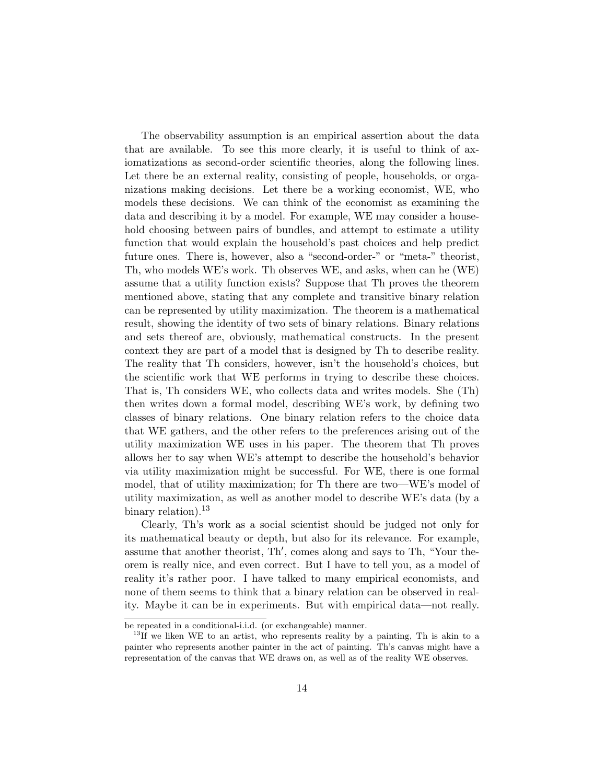The observability assumption is an empirical assertion about the data that are available. To see this more clearly, it is useful to think of axiomatizations as second-order scientific theories, along the following lines. Let there be an external reality, consisting of people, households, or organizations making decisions. Let there be a working economist, WE, who models these decisions. We can think of the economist as examining the data and describing it by a model. For example, WE may consider a household choosing between pairs of bundles, and attempt to estimate a utility function that would explain the household's past choices and help predict future ones. There is, however, also a "second-order-" or "meta-" theorist, Th, who models WE's work. Th observes WE, and asks, when can he (WE) assume that a utility function exists? Suppose that Th proves the theorem mentioned above, stating that any complete and transitive binary relation can be represented by utility maximization. The theorem is a mathematical result, showing the identity of two sets of binary relations. Binary relations and sets thereof are, obviously, mathematical constructs. In the present context they are part of a model that is designed by Th to describe reality. The reality that Th considers, however, isn't the household's choices, but the scientific work that WE performs in trying to describe these choices. That is, Th considers WE, who collects data and writes models. She (Th) then writes down a formal model, describing WE's work, by defining two classes of binary relations. One binary relation refers to the choice data that WE gathers, and the other refers to the preferences arising out of the utility maximization WE uses in his paper. The theorem that Th proves allows her to say when WE's attempt to describe the household's behavior via utility maximization might be successful. For WE, there is one formal model, that of utility maximization; for Th there are two—WE's model of utility maximization, as well as another model to describe WE's data (by a binary relation).<sup>13</sup>

Clearly, Th's work as a social scientist should be judged not only for its mathematical beauty or depth, but also for its relevance. For example, assume that another theorist, Th', comes along and says to Th, "Your theorem is really nice, and even correct. But I have to tell you, as a model of reality it's rather poor. I have talked to many empirical economists, and none of them seems to think that a binary relation can be observed in reality. Maybe it can be in experiments. But with empirical data—not really.

be repeated in a conditional-i.i.d. (or exchangeable) manner.

<sup>&</sup>lt;sup>13</sup>If we liken WE to an artist, who represents reality by a painting, Th is akin to a painter who represents another painter in the act of painting. Th's canvas might have a representation of the canvas that WE draws on, as well as of the reality WE observes.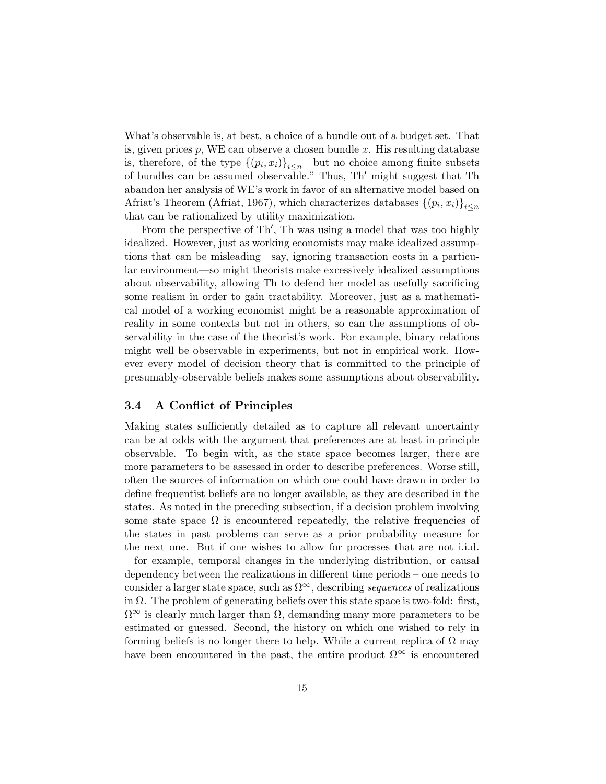What's observable is, at best, a choice of a bundle out of a budget set. That is, given prices  $p$ , WE can observe a chosen bundle  $x$ . His resulting database is, therefore, of the type  $\{(p_i, x_i)\}_{i \leq n}$ —but no choice among finite subsets of bundles can be assumed observable." Thus, Th' might suggest that Th abandon her analysis of WE's work in favor of an alternative model based on Afriat's Theorem (Afriat, 1967), which characterizes databases  $\{(p_i, x_i)\}_{i \leq n}$ that can be rationalized by utility maximization.

From the perspective of Th', Th was using a model that was too highly idealized. However, just as working economists may make idealized assumptions that can be misleading—say, ignoring transaction costs in a particular environment—so might theorists make excessively idealized assumptions about observability, allowing Th to defend her model as usefully sacrificing some realism in order to gain tractability. Moreover, just as a mathematical model of a working economist might be a reasonable approximation of reality in some contexts but not in others, so can the assumptions of observability in the case of the theorist's work. For example, binary relations might well be observable in experiments, but not in empirical work. However every model of decision theory that is committed to the principle of presumably-observable beliefs makes some assumptions about observability.

#### 3.4 A Conflict of Principles

Making states sufficiently detailed as to capture all relevant uncertainty can be at odds with the argument that preferences are at least in principle observable. To begin with, as the state space becomes larger, there are more parameters to be assessed in order to describe preferences. Worse still, often the sources of information on which one could have drawn in order to define frequentist beliefs are no longer available, as they are described in the states. As noted in the preceding subsection, if a decision problem involving some state space  $\Omega$  is encountered repeatedly, the relative frequencies of the states in past problems can serve as a prior probability measure for the next one. But if one wishes to allow for processes that are not i.i.d. – for example, temporal changes in the underlying distribution, or causal dependency between the realizations in different time periods – one needs to consider a larger state space, such as  $\Omega^{\infty}$ , describing sequences of realizations in  $\Omega$ . The problem of generating beliefs over this state space is two-fold: first,  $\Omega^{\infty}$  is clearly much larger than  $\Omega$ , demanding many more parameters to be estimated or guessed. Second, the history on which one wished to rely in forming beliefs is no longer there to help. While a current replica of  $\Omega$  may have been encountered in the past, the entire product  $\Omega^{\infty}$  is encountered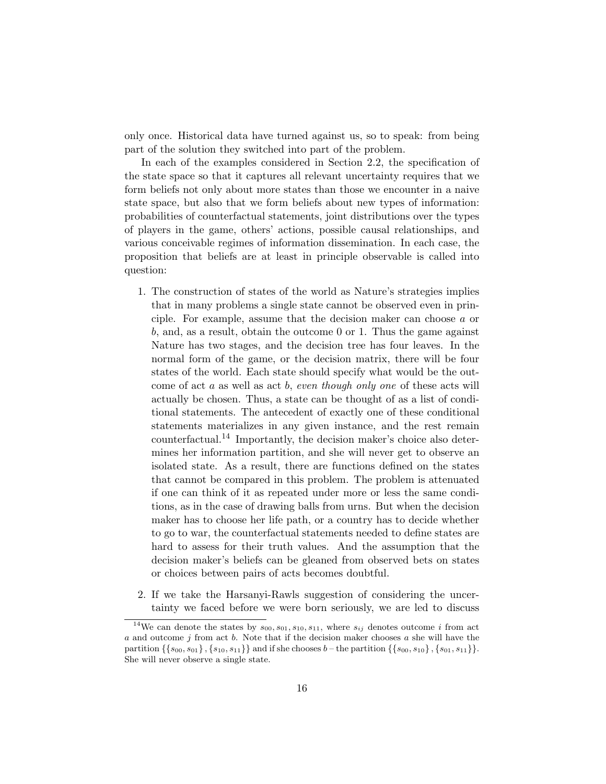only once. Historical data have turned against us, so to speak: from being part of the solution they switched into part of the problem.

In each of the examples considered in Section 2.2, the specification of the state space so that it captures all relevant uncertainty requires that we form beliefs not only about more states than those we encounter in a naive state space, but also that we form beliefs about new types of information: probabilities of counterfactual statements, joint distributions over the types of players in the game, others' actions, possible causal relationships, and various conceivable regimes of information dissemination. In each case, the proposition that beliefs are at least in principle observable is called into question:

- 1. The construction of states of the world as Nature's strategies implies that in many problems a single state cannot be observed even in principle. For example, assume that the decision maker can choose a or b, and, as a result, obtain the outcome 0 or 1. Thus the game against Nature has two stages, and the decision tree has four leaves. In the normal form of the game, or the decision matrix, there will be four states of the world. Each state should specify what would be the outcome of act a as well as act b, even though only one of these acts will actually be chosen. Thus, a state can be thought of as a list of conditional statements. The antecedent of exactly one of these conditional statements materializes in any given instance, and the rest remain counterfactual.<sup>14</sup> Importantly, the decision maker's choice also determines her information partition, and she will never get to observe an isolated state. As a result, there are functions defined on the states that cannot be compared in this problem. The problem is attenuated if one can think of it as repeated under more or less the same conditions, as in the case of drawing balls from urns. But when the decision maker has to choose her life path, or a country has to decide whether to go to war, the counterfactual statements needed to define states are hard to assess for their truth values. And the assumption that the decision maker's beliefs can be gleaned from observed bets on states or choices between pairs of acts becomes doubtful.
- 2. If we take the Harsanyi-Rawls suggestion of considering the uncertainty we faced before we were born seriously, we are led to discuss

<sup>&</sup>lt;sup>14</sup>We can denote the states by  $s_{00}, s_{01}, s_{10}, s_{11}$ , where  $s_{ij}$  denotes outcome *i* from act  $a$  and outcome  $j$  from act  $b$ . Note that if the decision maker chooses  $a$  she will have the partition  $\{\{s_{00}, s_{01}\}, \{s_{10}, s_{11}\}\}\$  and if she chooses  $b$  – the partition  $\{\{s_{00}, s_{10}\}, \{s_{01}, s_{11}\}\}.$ She will never observe a single state.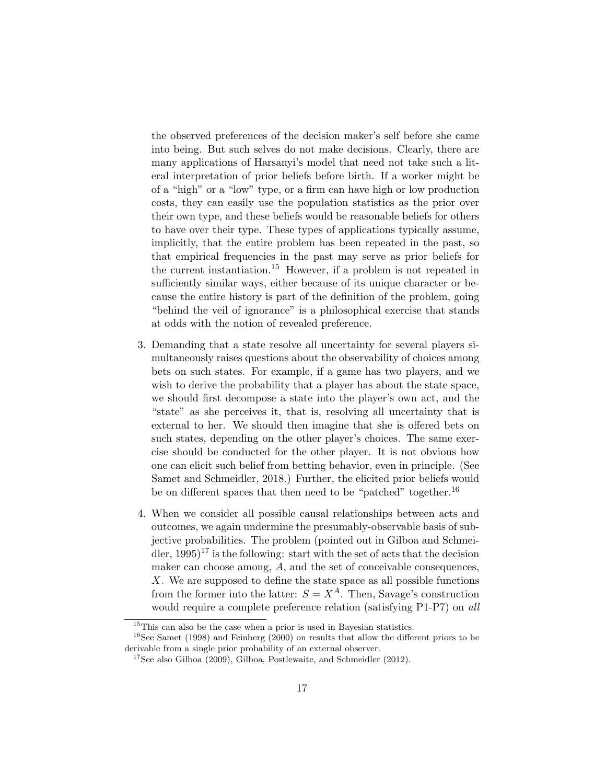the observed preferences of the decision maker's self before she came into being. But such selves do not make decisions. Clearly, there are many applications of Harsanyi's model that need not take such a literal interpretation of prior beliefs before birth. If a worker might be of a "high" or a "low" type, or a firm can have high or low production costs, they can easily use the population statistics as the prior over their own type, and these beliefs would be reasonable beliefs for others to have over their type. These types of applications typically assume, implicitly, that the entire problem has been repeated in the past, so that empirical frequencies in the past may serve as prior beliefs for the current instantiation.<sup>15</sup> However, if a problem is not repeated in sufficiently similar ways, either because of its unique character or because the entire history is part of the definition of the problem, going "behind the veil of ignorance" is a philosophical exercise that stands at odds with the notion of revealed preference.

- 3. Demanding that a state resolve all uncertainty for several players simultaneously raises questions about the observability of choices among bets on such states. For example, if a game has two players, and we wish to derive the probability that a player has about the state space, we should first decompose a state into the player's own act, and the "state" as she perceives it, that is, resolving all uncertainty that is external to her. We should then imagine that she is offered bets on such states, depending on the other player's choices. The same exercise should be conducted for the other player. It is not obvious how one can elicit such belief from betting behavior, even in principle. (See Samet and Schmeidler, 2018.) Further, the elicited prior beliefs would be on different spaces that then need to be "patched" together.<sup>16</sup>
- 4. When we consider all possible causal relationships between acts and outcomes, we again undermine the presumably-observable basis of subjective probabilities. The problem (pointed out in Gilboa and Schmeidler,  $1995$ <sup>17</sup> is the following: start with the set of acts that the decision maker can choose among, A, and the set of conceivable consequences, X. We are supposed to define the state space as all possible functions from the former into the latter:  $S = X^A$ . Then, Savage's construction would require a complete preference relation (satisfying P1-P7) on all

<sup>&</sup>lt;sup>15</sup>This can also be the case when a prior is used in Bayesian statistics.

<sup>16</sup>See Samet (1998) and Feinberg (2000) on results that allow the different priors to be derivable from a single prior probability of an external observer.

 $17$ See also Gilboa (2009), Gilboa, Postlewaite, and Schmeidler (2012).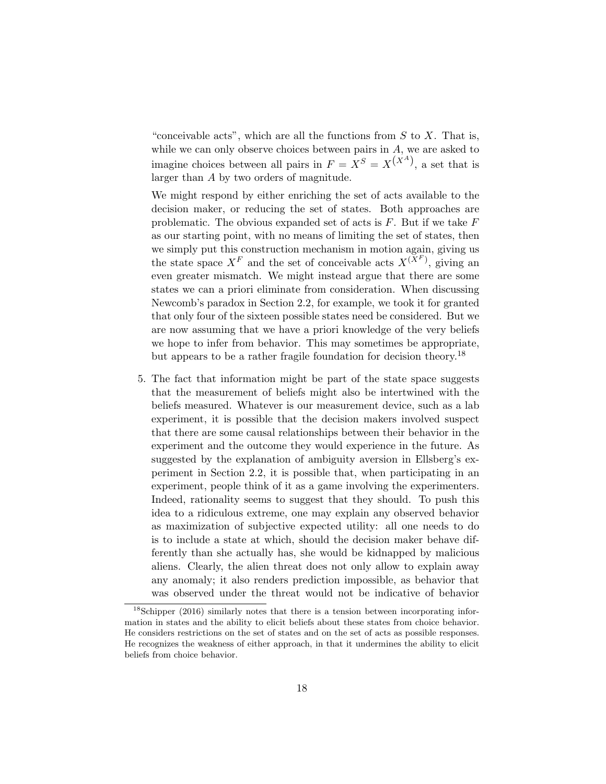"conceivable acts", which are all the functions from  $S$  to  $X$ . That is, while we can only observe choices between pairs in  $A$ , we are asked to imagine choices between all pairs in  $F = X^S = X^{(X^A)}$ , a set that is larger than A by two orders of magnitude.

We might respond by either enriching the set of acts available to the decision maker, or reducing the set of states. Both approaches are problematic. The obvious expanded set of acts is  $F$ . But if we take  $F$ as our starting point, with no means of limiting the set of states, then we simply put this construction mechanism in motion again, giving us the state space  $X^F$  and the set of conceivable acts  $X^{(\bar{X}^F)}$ , giving an even greater mismatch. We might instead argue that there are some states we can a priori eliminate from consideration. When discussing Newcomb's paradox in Section 2.2, for example, we took it for granted that only four of the sixteen possible states need be considered. But we are now assuming that we have a priori knowledge of the very beliefs we hope to infer from behavior. This may sometimes be appropriate, but appears to be a rather fragile foundation for decision theory.<sup>18</sup>

5. The fact that information might be part of the state space suggests that the measurement of beliefs might also be intertwined with the beliefs measured. Whatever is our measurement device, such as a lab experiment, it is possible that the decision makers involved suspect that there are some causal relationships between their behavior in the experiment and the outcome they would experience in the future. As suggested by the explanation of ambiguity aversion in Ellsberg's experiment in Section 2.2, it is possible that, when participating in an experiment, people think of it as a game involving the experimenters. Indeed, rationality seems to suggest that they should. To push this idea to a ridiculous extreme, one may explain any observed behavior as maximization of subjective expected utility: all one needs to do is to include a state at which, should the decision maker behave differently than she actually has, she would be kidnapped by malicious aliens. Clearly, the alien threat does not only allow to explain away any anomaly; it also renders prediction impossible, as behavior that was observed under the threat would not be indicative of behavior

<sup>&</sup>lt;sup>18</sup>Schipper (2016) similarly notes that there is a tension between incorporating information in states and the ability to elicit beliefs about these states from choice behavior. He considers restrictions on the set of states and on the set of acts as possible responses. He recognizes the weakness of either approach, in that it undermines the ability to elicit beliefs from choice behavior.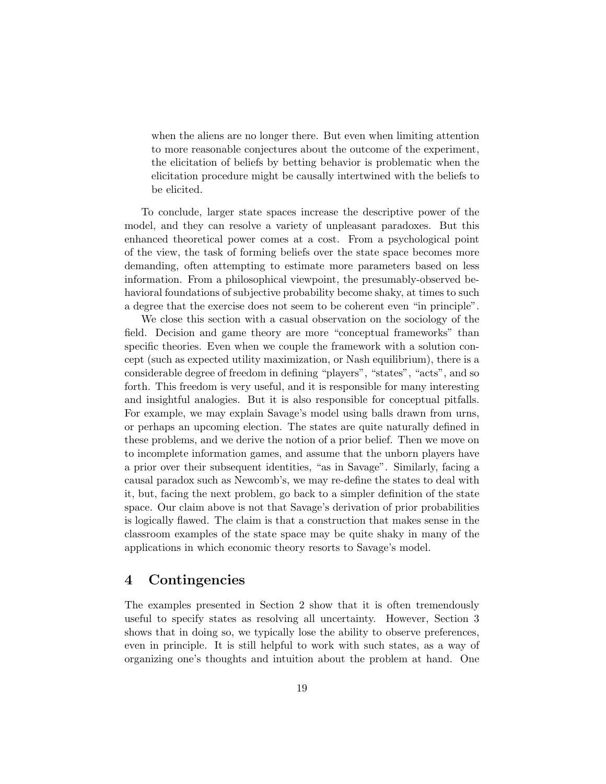when the aliens are no longer there. But even when limiting attention to more reasonable conjectures about the outcome of the experiment, the elicitation of beliefs by betting behavior is problematic when the elicitation procedure might be causally intertwined with the beliefs to be elicited.

To conclude, larger state spaces increase the descriptive power of the model, and they can resolve a variety of unpleasant paradoxes. But this enhanced theoretical power comes at a cost. From a psychological point of the view, the task of forming beliefs over the state space becomes more demanding, often attempting to estimate more parameters based on less information. From a philosophical viewpoint, the presumably-observed behavioral foundations of subjective probability become shaky, at times to such a degree that the exercise does not seem to be coherent even "in principle".

We close this section with a casual observation on the sociology of the field. Decision and game theory are more "conceptual frameworks" than specific theories. Even when we couple the framework with a solution concept (such as expected utility maximization, or Nash equilibrium), there is a considerable degree of freedom in defining "players", "states", "acts", and so forth. This freedom is very useful, and it is responsible for many interesting and insightful analogies. But it is also responsible for conceptual pitfalls. For example, we may explain Savage's model using balls drawn from urns, or perhaps an upcoming election. The states are quite naturally defined in these problems, and we derive the notion of a prior belief. Then we move on to incomplete information games, and assume that the unborn players have a prior over their subsequent identities, "as in Savage". Similarly, facing a causal paradox such as Newcomb's, we may re-define the states to deal with it, but, facing the next problem, go back to a simpler definition of the state space. Our claim above is not that Savage's derivation of prior probabilities is logically flawed. The claim is that a construction that makes sense in the classroom examples of the state space may be quite shaky in many of the applications in which economic theory resorts to Savage's model.

## 4 Contingencies

The examples presented in Section 2 show that it is often tremendously useful to specify states as resolving all uncertainty. However, Section 3 shows that in doing so, we typically lose the ability to observe preferences, even in principle. It is still helpful to work with such states, as a way of organizing one's thoughts and intuition about the problem at hand. One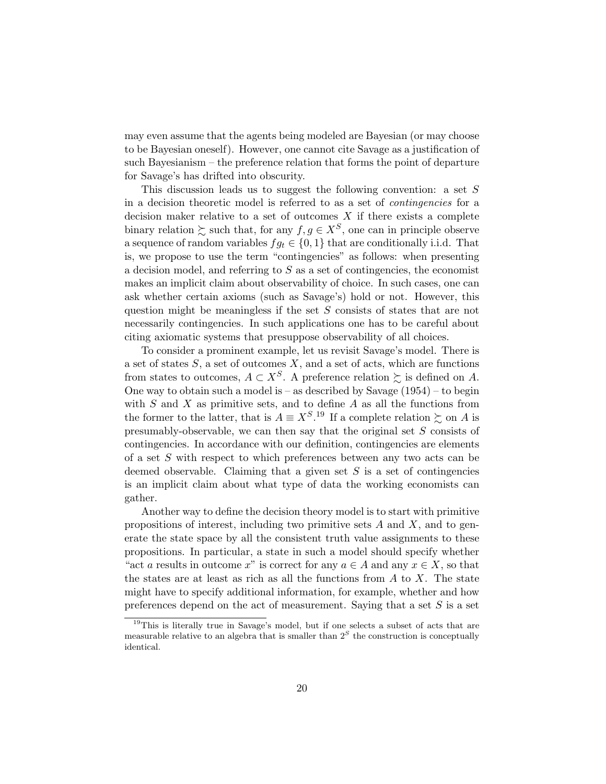may even assume that the agents being modeled are Bayesian (or may choose to be Bayesian oneself). However, one cannot cite Savage as a justification of such Bayesianism – the preference relation that forms the point of departure for Savage's has drifted into obscurity.

This discussion leads us to suggest the following convention: a set S in a decision theoretic model is referred to as a set of contingencies for a decision maker relative to a set of outcomes  $X$  if there exists a complete binary relation  $\succsim$  such that, for any  $f, g \in X^S$ , one can in principle observe a sequence of random variables  $fg_t \in \{0,1\}$  that are conditionally i.i.d. That is, we propose to use the term "contingencies" as follows: when presenting a decision model, and referring to  $S$  as a set of contingencies, the economist makes an implicit claim about observability of choice. In such cases, one can ask whether certain axioms (such as Savage's) hold or not. However, this question might be meaningless if the set S consists of states that are not necessarily contingencies. In such applications one has to be careful about citing axiomatic systems that presuppose observability of all choices.

To consider a prominent example, let us revisit Savage's model. There is a set of states  $S$ , a set of outcomes  $X$ , and a set of acts, which are functions from states to outcomes,  $A \subset X^S$ . A preference relation  $\succsim$  is defined on A. One way to obtain such a model is – as described by Savage  $(1954)$  – to begin with  $S$  and  $X$  as primitive sets, and to define  $A$  as all the functions from the former to the latter, that is  $A \equiv X^{S}$ .<sup>19</sup> If a complete relation  $\succsim$  on A is presumably-observable, we can then say that the original set S consists of contingencies. In accordance with our definition, contingencies are elements of a set S with respect to which preferences between any two acts can be deemed observable. Claiming that a given set  $S$  is a set of contingencies is an implicit claim about what type of data the working economists can gather.

Another way to define the decision theory model is to start with primitive propositions of interest, including two primitive sets  $A$  and  $X$ , and to generate the state space by all the consistent truth value assignments to these propositions. In particular, a state in such a model should specify whether "act a results in outcome x" is correct for any  $a \in A$  and any  $x \in X$ , so that the states are at least as rich as all the functions from  $A$  to  $X$ . The state might have to specify additional information, for example, whether and how preferences depend on the act of measurement. Saying that a set  $S$  is a set

<sup>&</sup>lt;sup>19</sup>This is literally true in Savage's model, but if one selects a subset of acts that are measurable relative to an algebra that is smaller than  $2<sup>S</sup>$  the construction is conceptually identical.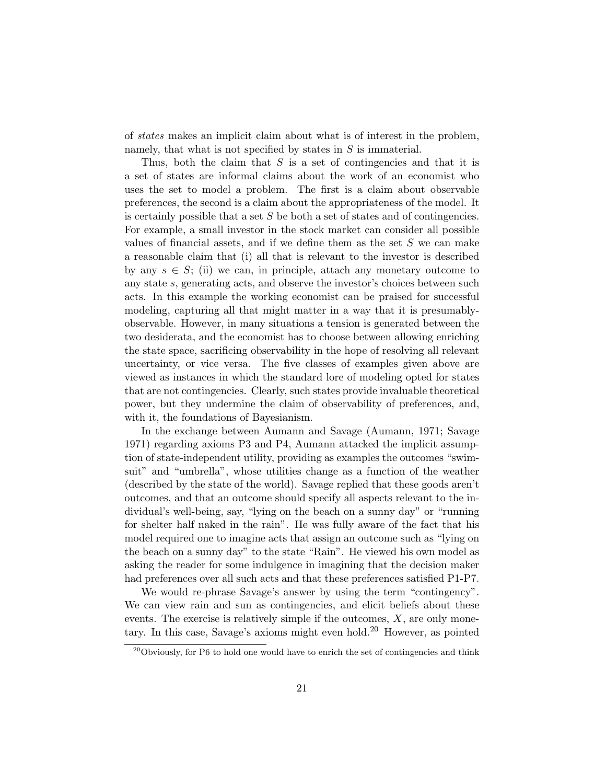of states makes an implicit claim about what is of interest in the problem, namely, that what is not specified by states in  $S$  is immaterial.

Thus, both the claim that  $S$  is a set of contingencies and that it is a set of states are informal claims about the work of an economist who uses the set to model a problem. The first is a claim about observable preferences, the second is a claim about the appropriateness of the model. It is certainly possible that a set  $S$  be both a set of states and of contingencies. For example, a small investor in the stock market can consider all possible values of financial assets, and if we define them as the set  $S$  we can make a reasonable claim that (i) all that is relevant to the investor is described by any  $s \in S$ ; (ii) we can, in principle, attach any monetary outcome to any state s, generating acts, and observe the investor's choices between such acts. In this example the working economist can be praised for successful modeling, capturing all that might matter in a way that it is presumablyobservable. However, in many situations a tension is generated between the two desiderata, and the economist has to choose between allowing enriching the state space, sacrificing observability in the hope of resolving all relevant uncertainty, or vice versa. The five classes of examples given above are viewed as instances in which the standard lore of modeling opted for states that are not contingencies. Clearly, such states provide invaluable theoretical power, but they undermine the claim of observability of preferences, and, with it, the foundations of Bayesianism.

In the exchange between Aumann and Savage (Aumann, 1971; Savage 1971) regarding axioms P3 and P4, Aumann attacked the implicit assumption of state-independent utility, providing as examples the outcomes "swimsuit" and "umbrella", whose utilities change as a function of the weather (described by the state of the world). Savage replied that these goods aren't outcomes, and that an outcome should specify all aspects relevant to the individual's well-being, say, "lying on the beach on a sunny day" or "running for shelter half naked in the rain". He was fully aware of the fact that his model required one to imagine acts that assign an outcome such as "lying on the beach on a sunny day" to the state "Rain". He viewed his own model as asking the reader for some indulgence in imagining that the decision maker had preferences over all such acts and that these preferences satisfied P1-P7.

We would re-phrase Savage's answer by using the term "contingency". We can view rain and sun as contingencies, and elicit beliefs about these events. The exercise is relatively simple if the outcomes,  $X$ , are only monetary. In this case, Savage's axioms might even hold.<sup>20</sup> However, as pointed

 $^{20}$ Obviously, for P6 to hold one would have to enrich the set of contingencies and think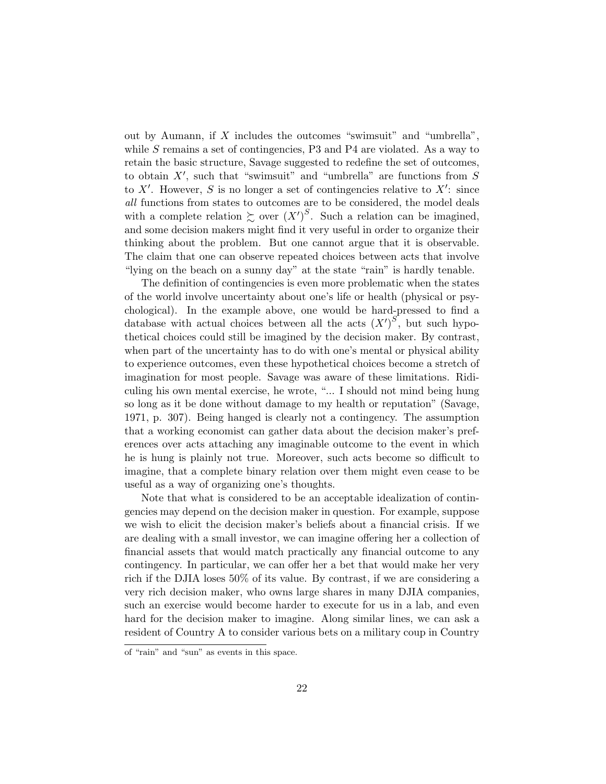out by Aumann, if  $X$  includes the outcomes "swimsuit" and "umbrella", while S remains a set of contingencies,  $P3$  and  $P4$  are violated. As a way to retain the basic structure, Savage suggested to redefine the set of outcomes, to obtain  $X'$ , such that "swimsuit" and "umbrella" are functions from  $S$ to  $X'$ . However, S is no longer a set of contingencies relative to  $X'$ : since all functions from states to outcomes are to be considered, the model deals with a complete relation  $\succsim$  over  $(X')^S$ . Such a relation can be imagined, and some decision makers might find it very useful in order to organize their thinking about the problem. But one cannot argue that it is observable. The claim that one can observe repeated choices between acts that involve "lying on the beach on a sunny day" at the state "rain" is hardly tenable.

The definition of contingencies is even more problematic when the states of the world involve uncertainty about one's life or health (physical or psychological). In the example above, one would be hard-pressed to find a database with actual choices between all the acts  $(X')^{S}$ , but such hypothetical choices could still be imagined by the decision maker. By contrast, when part of the uncertainty has to do with one's mental or physical ability to experience outcomes, even these hypothetical choices become a stretch of imagination for most people. Savage was aware of these limitations. Ridiculing his own mental exercise, he wrote, "... I should not mind being hung so long as it be done without damage to my health or reputation" (Savage, 1971, p. 307). Being hanged is clearly not a contingency. The assumption that a working economist can gather data about the decision maker's preferences over acts attaching any imaginable outcome to the event in which he is hung is plainly not true. Moreover, such acts become so difficult to imagine, that a complete binary relation over them might even cease to be useful as a way of organizing one's thoughts.

Note that what is considered to be an acceptable idealization of contingencies may depend on the decision maker in question. For example, suppose we wish to elicit the decision maker's beliefs about a financial crisis. If we are dealing with a small investor, we can imagine offering her a collection of financial assets that would match practically any financial outcome to any contingency. In particular, we can offer her a bet that would make her very rich if the DJIA loses 50% of its value. By contrast, if we are considering a very rich decision maker, who owns large shares in many DJIA companies, such an exercise would become harder to execute for us in a lab, and even hard for the decision maker to imagine. Along similar lines, we can ask a resident of Country A to consider various bets on a military coup in Country

of "rain" and "sun" as events in this space.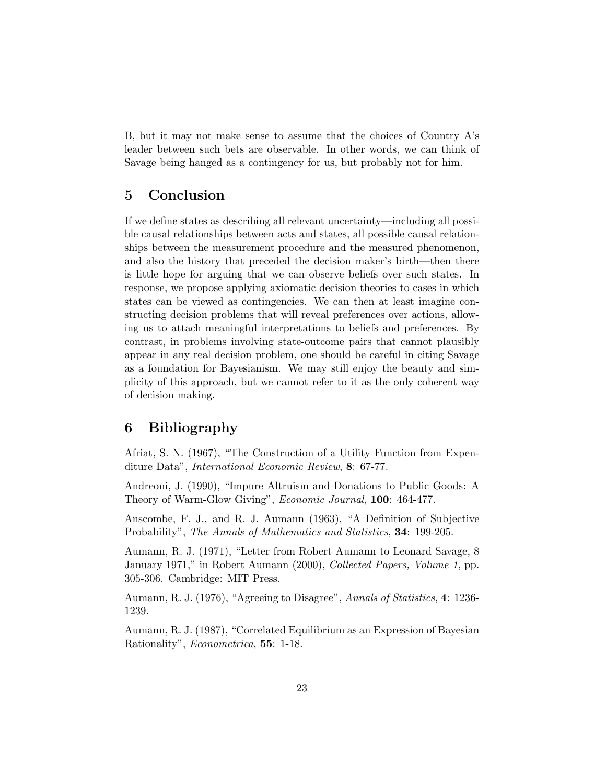B, but it may not make sense to assume that the choices of Country A's leader between such bets are observable. In other words, we can think of Savage being hanged as a contingency for us, but probably not for him.

## 5 Conclusion

If we define states as describing all relevant uncertainty—including all possible causal relationships between acts and states, all possible causal relationships between the measurement procedure and the measured phenomenon, and also the history that preceded the decision maker's birth—then there is little hope for arguing that we can observe beliefs over such states. In response, we propose applying axiomatic decision theories to cases in which states can be viewed as contingencies. We can then at least imagine constructing decision problems that will reveal preferences over actions, allowing us to attach meaningful interpretations to beliefs and preferences. By contrast, in problems involving state-outcome pairs that cannot plausibly appear in any real decision problem, one should be careful in citing Savage as a foundation for Bayesianism. We may still enjoy the beauty and simplicity of this approach, but we cannot refer to it as the only coherent way of decision making.

## 6 Bibliography

Afriat, S. N. (1967), "The Construction of a Utility Function from Expenditure Data", *International Economic Review*, 8: 67-77.

Andreoni, J. (1990), "Impure Altruism and Donations to Public Goods: A Theory of Warm-Glow Giving", *Economic Journal*, **100**: 464-477.

Anscombe, F. J., and R. J. Aumann (1963), "A Definition of Subjective Probability", The Annals of Mathematics and Statistics, 34: 199-205.

Aumann, R. J. (1971), "Letter from Robert Aumann to Leonard Savage, 8 January 1971," in Robert Aumann (2000), Collected Papers, Volume 1, pp. 305-306. Cambridge: MIT Press.

Aumann, R. J. (1976), "Agreeing to Disagree", Annals of Statistics, 4: 1236-1239.

Aumann, R. J. (1987), "Correlated Equilibrium as an Expression of Bayesian Rationality", Econometrica, 55: 1-18.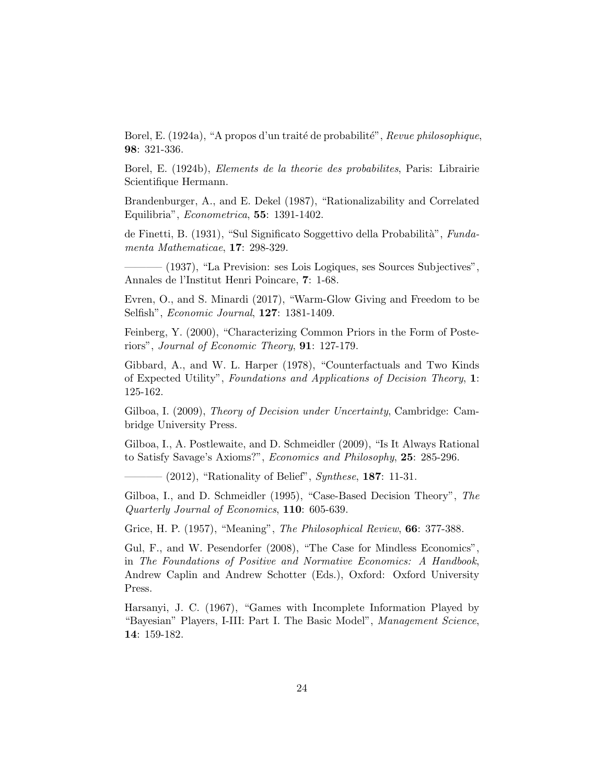Borel, E. (1924a), "A propos d'un traité de probabilité", Revue philosophique, 98: 321-336.

Borel, E. (1924b), Elements de la theorie des probabilites, Paris: Librairie Scientifique Hermann.

Brandenburger, A., and E. Dekel (1987), "Rationalizability and Correlated Equilibria", Econometrica, 55: 1391-1402.

de Finetti, B. (1931), "Sul Significato Soggettivo della Probabilità", Fundamenta Mathematicae, 17: 298-329.

———– (1937), "La Prevision: ses Lois Logiques, ses Sources Subjectives", Annales de l'Institut Henri Poincare, 7: 1-68.

Evren, O., and S. Minardi (2017), "Warm-Glow Giving and Freedom to be Selfish", Economic Journal, 127: 1381-1409.

Feinberg, Y. (2000), "Characterizing Common Priors in the Form of Posteriors", Journal of Economic Theory, 91: 127-179.

Gibbard, A., and W. L. Harper (1978), "Counterfactuals and Two Kinds of Expected Utility", Foundations and Applications of Decision Theory, 1: 125-162.

Gilboa, I. (2009), Theory of Decision under Uncertainty, Cambridge: Cambridge University Press.

Gilboa, I., A. Postlewaite, and D. Schmeidler (2009), "Is It Always Rational to Satisfy Savage's Axioms?", Economics and Philosophy, 25: 285-296.

 $-$  (2012), "Rationality of Belief", *Synthese*, **187**: 11-31.

Gilboa, I., and D. Schmeidler (1995), "Case-Based Decision Theory", The Quarterly Journal of Economics, 110: 605-639.

Grice, H. P. (1957), "Meaning", The Philosophical Review, 66: 377-388.

Gul, F., and W. Pesendorfer (2008), "The Case for Mindless Economics", in The Foundations of Positive and Normative Economics: A Handbook, Andrew Caplin and Andrew Schotter (Eds.), Oxford: Oxford University Press.

Harsanyi, J. C. (1967), "Games with Incomplete Information Played by "Bayesian" Players, I-III: Part I. The Basic Model", Management Science, 14: 159-182.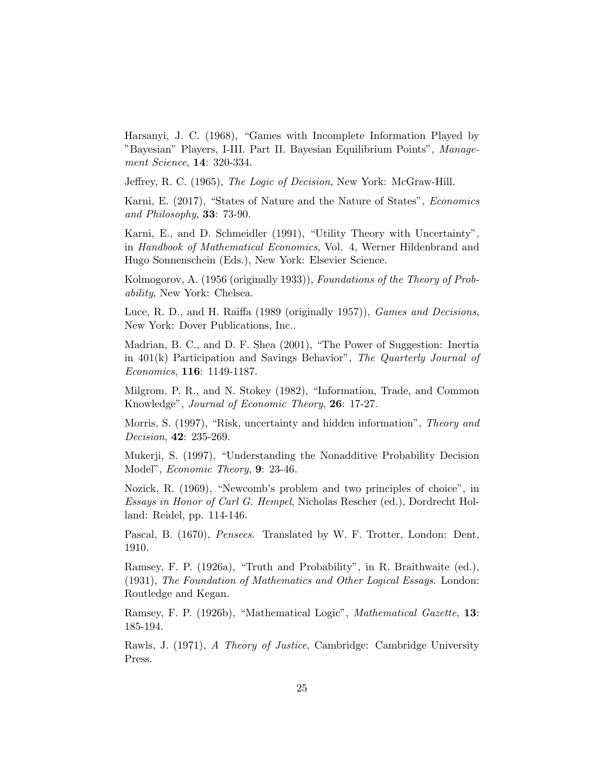Harsanyi, J. C. (1968), "Games with Incomplete Information Played by "Bayesian" Players, I-III. Part II. Bayesian Equilibrium Points", Management Science, 14: 320-334.

Jeffrey, R. C. (1965), *The Logic of Decision*, New York: McGraw-Hill.

Karni, E. (2017), "States of Nature and the Nature of States", Economics and Philosophy, 33: 73-90.

Karni, E., and D. Schmeidler (1991), "Utility Theory with Uncertainty", in Handbook of Mathematical Economics, Vol. 4, Werner Hildenbrand and Hugo Sonnenschein (Eds.), New York: Elsevier Science.

Kolmogorov, A. (1956 (originally 1933)), Foundations of the Theory of Probability, New York: Chelsea.

Luce, R. D., and H. Raiffa (1989 (originally 1957)), Games and Decisions, New York: Dover Publications, Inc..

Madrian, B. C., and D. F. Shea (2001), "The Power of Suggestion: Inertia in 401(k) Participation and Savings Behavior", The Quarterly Journal of Economics, 116: 1149-1187.

Milgrom, P. R., and N. Stokey (1982), "Information, Trade, and Common Knowledge", Journal of Economic Theory, 26: 17-27.

Morris, S. (1997), "Risk, uncertainty and hidden information", Theory and Decision, 42: 235-269.

Mukerji, S. (1997), "Understanding the Nonadditive Probability Decision Model", Economic Theory, 9: 23-46.

Nozick, R. (1969), "Newcomb's problem and two principles of choice", in Essays in Honor of Carl G. Hempel, Nicholas Rescher (ed.), Dordrecht Holland: Reidel, pp. 114-146.

Pascal, B. (1670), Pensees. Translated by W. F. Trotter, London: Dent, 1910.

Ramsey, F. P. (1926a), "Truth and Probability", in R. Braithwaite (ed.), (1931), The Foundation of Mathematics and Other Logical Essays. London: Routledge and Kegan.

Ramsey, F. P. (1926b), "Mathematical Logic", Mathematical Gazette, 13: 185-194.

Rawls, J. (1971), A Theory of Justice, Cambridge: Cambridge University Press.